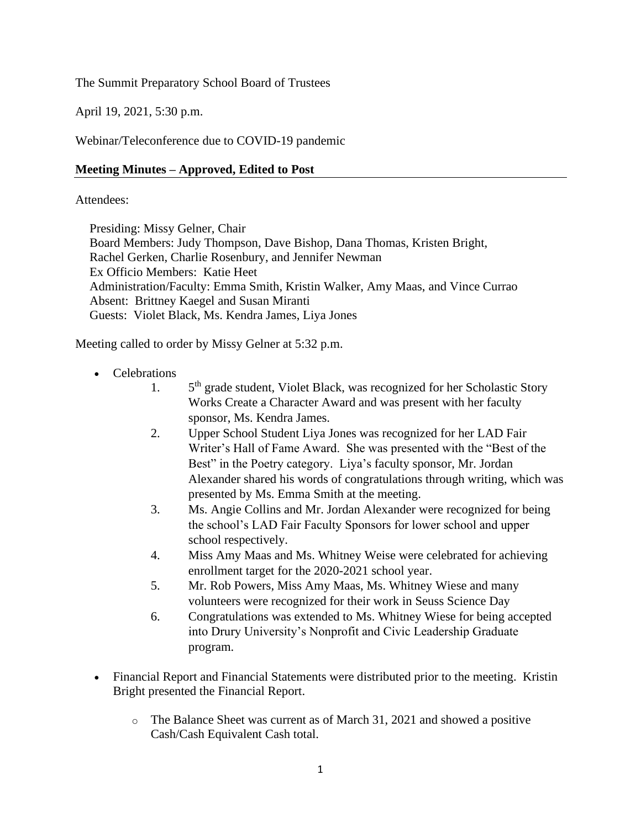## The Summit Preparatory School Board of Trustees

April 19, 2021, 5:30 p.m.

Webinar/Teleconference due to COVID-19 pandemic

#### **Meeting Minutes – Approved, Edited to Post**

#### Attendees:

Presiding: Missy Gelner, Chair Board Members: Judy Thompson, Dave Bishop, Dana Thomas, Kristen Bright, Rachel Gerken, Charlie Rosenbury, and Jennifer Newman Ex Officio Members: Katie Heet Administration/Faculty: Emma Smith, Kristin Walker, Amy Maas, and Vince Currao Absent: Brittney Kaegel and Susan Miranti Guests: Violet Black, Ms. Kendra James, Liya Jones

Meeting called to order by Missy Gelner at 5:32 p.m.

- Celebrations
	- $1<sub>1</sub>$ 5<sup>th</sup> grade student, Violet Black, was recognized for her Scholastic Story Works Create a Character Award and was present with her faculty sponsor, Ms. Kendra James.
	- 2. Upper School Student Liya Jones was recognized for her LAD Fair Writer's Hall of Fame Award. She was presented with the "Best of the Best" in the Poetry category. Liya's faculty sponsor, Mr. Jordan Alexander shared his words of congratulations through writing, which was presented by Ms. Emma Smith at the meeting.
	- 3. Ms. Angie Collins and Mr. Jordan Alexander were recognized for being the school's LAD Fair Faculty Sponsors for lower school and upper school respectively.
	- 4. Miss Amy Maas and Ms. Whitney Weise were celebrated for achieving enrollment target for the 2020-2021 school year.
	- 5. Mr. Rob Powers, Miss Amy Maas, Ms. Whitney Wiese and many volunteers were recognized for their work in Seuss Science Day
	- 6. Congratulations was extended to Ms. Whitney Wiese for being accepted into Drury University's Nonprofit and Civic Leadership Graduate program.
- Financial Report and Financial Statements were distributed prior to the meeting. Kristin Bright presented the Financial Report.
	- o The Balance Sheet was current as of March 31, 2021 and showed a positive Cash/Cash Equivalent Cash total.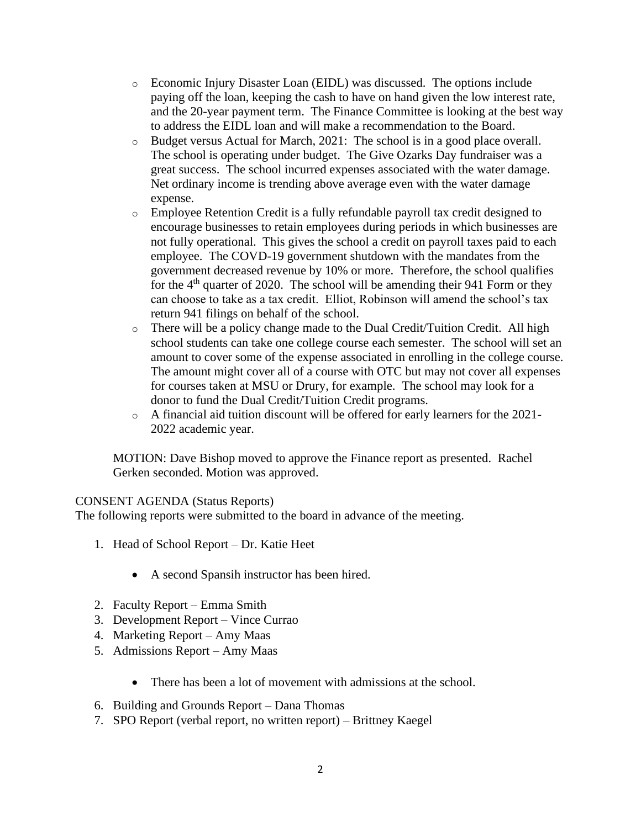- o Economic Injury Disaster Loan (EIDL) was discussed. The options include paying off the loan, keeping the cash to have on hand given the low interest rate, and the 20-year payment term. The Finance Committee is looking at the best way to address the EIDL loan and will make a recommendation to the Board.
- o Budget versus Actual for March, 2021: The school is in a good place overall. The school is operating under budget. The Give Ozarks Day fundraiser was a great success. The school incurred expenses associated with the water damage. Net ordinary income is trending above average even with the water damage expense.
- o Employee Retention Credit is a fully refundable payroll tax credit designed to encourage businesses to retain employees during periods in which businesses are not fully operational. This gives the school a credit on payroll taxes paid to each employee. The COVD-19 government shutdown with the mandates from the government decreased revenue by 10% or more. Therefore, the school qualifies for the  $4<sup>th</sup>$  quarter of 2020. The school will be amending their 941 Form or they can choose to take as a tax credit. Elliot, Robinson will amend the school's tax return 941 filings on behalf of the school.
- o There will be a policy change made to the Dual Credit/Tuition Credit. All high school students can take one college course each semester. The school will set an amount to cover some of the expense associated in enrolling in the college course. The amount might cover all of a course with OTC but may not cover all expenses for courses taken at MSU or Drury, for example. The school may look for a donor to fund the Dual Credit/Tuition Credit programs.
- o A financial aid tuition discount will be offered for early learners for the 2021- 2022 academic year.

MOTION: Dave Bishop moved to approve the Finance report as presented. Rachel Gerken seconded. Motion was approved.

## CONSENT AGENDA (Status Reports)

The following reports were submitted to the board in advance of the meeting.

- 1. Head of School Report Dr. Katie Heet
	- A second Spansih instructor has been hired.
- 2. Faculty Report Emma Smith
- 3. Development Report Vince Currao
- 4. Marketing Report Amy Maas
- 5. Admissions Report Amy Maas
	- There has been a lot of movement with admissions at the school.
- 6. Building and Grounds Report Dana Thomas
- 7. SPO Report (verbal report, no written report) Brittney Kaegel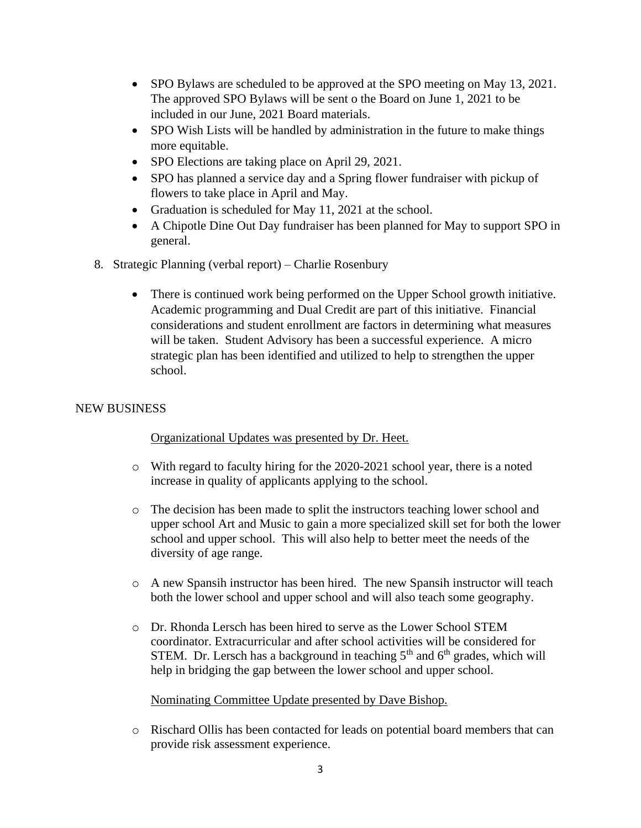- SPO Bylaws are scheduled to be approved at the SPO meeting on May 13, 2021. The approved SPO Bylaws will be sent o the Board on June 1, 2021 to be included in our June, 2021 Board materials.
- SPO Wish Lists will be handled by administration in the future to make things more equitable.
- SPO Elections are taking place on April 29, 2021.
- SPO has planned a service day and a Spring flower fundraiser with pickup of flowers to take place in April and May.
- Graduation is scheduled for May 11, 2021 at the school.
- A Chipotle Dine Out Day fundraiser has been planned for May to support SPO in general.
- 8. Strategic Planning (verbal report) Charlie Rosenbury
	- There is continued work being performed on the Upper School growth initiative. Academic programming and Dual Credit are part of this initiative. Financial considerations and student enrollment are factors in determining what measures will be taken. Student Advisory has been a successful experience. A micro strategic plan has been identified and utilized to help to strengthen the upper school.

# NEW BUSINESS

## Organizational Updates was presented by Dr. Heet.

- o With regard to faculty hiring for the 2020-2021 school year, there is a noted increase in quality of applicants applying to the school.
- o The decision has been made to split the instructors teaching lower school and upper school Art and Music to gain a more specialized skill set for both the lower school and upper school. This will also help to better meet the needs of the diversity of age range.
- o A new Spansih instructor has been hired. The new Spansih instructor will teach both the lower school and upper school and will also teach some geography.
- o Dr. Rhonda Lersch has been hired to serve as the Lower School STEM coordinator. Extracurricular and after school activities will be considered for STEM. Dr. Lersch has a background in teaching  $5<sup>th</sup>$  and  $6<sup>th</sup>$  grades, which will help in bridging the gap between the lower school and upper school.

## Nominating Committee Update presented by Dave Bishop.

o Rischard Ollis has been contacted for leads on potential board members that can provide risk assessment experience.